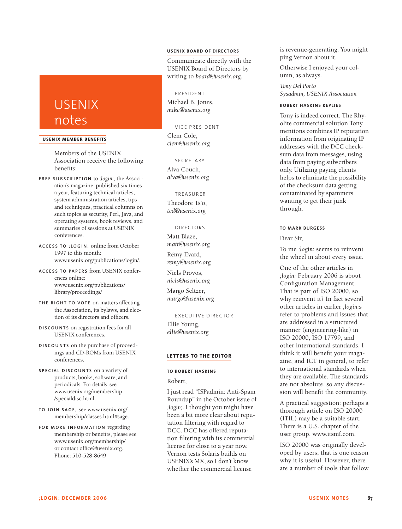# USENIX notes

#### **USENIX MEMBER BENEF ITS**

Members of the USENIX Association receive the following benefits:

- **F R E E S U B S C R I P T I O N** to *;login:*, the Association's magazine, published six times a year, featuring technical articles, system administration articles, tips and techniques, practical columns on such topics as security, Perl, Java, and operating systems, book reviews, and summaries of sessions at USENIX conferences.
- **A C C E S S T O ; L O G I N :** online from October 1997 to this month: www.usenix.org/publications/login/.
- **A C C E S S T O PA P E R S** from USENIX conferences online: www.usenix.org/publications/ library/proceedings/
- **TH E R I G H T T O V O T E** on matters affecting the Association, its bylaws, and election of its directors and officers.
- **D I S C O U N T S** on registration fees for all USENIX conferences.
- **D I S C O U N T S** on the purchase of proceedings and CD-ROMs from USENIX conferences.
- **S P E C I A L D I S C O U N T S** on a variety of products, books, software, and periodicals. For details, see www.usenix.org/membership /specialdisc.html.
- **T O J O I N S AG E ,** see www.usenix.org/ membership/classes.html#sage.
- **F O R M O R E I N F O R M AT I O N** regarding membership or benefits, please see www.usenix.org/membership/ or contact office@usenix.org. Phone: 510-528-8649

### **USENIX BOARD OF DIRECTORS**

Communicate directly with the USENIX Board of Directors by writing to *board@usenix.org*.

## PRESIDENT

Michael B. Jones, *mike@usenix.org*

VICE PRESIDENT Clem Cole,

SECRETARY Alva Couch, *alva@usenix.org*

*clem@usenix.org*

TREASURER Theodore Ts'o, *ted@usenix.org*

DI RECTORS

Matt Blaze, *matt@usenix.org* Rémy Evard,

*remy@usenix.org* Niels Provos,

*niels@usenix.org*

Margo Seltzer, *margo@usenix.org*

EXECUTIVE DIRECTOR

Ellie Young, *ellie@usenix.org*

#### **LETTERS TO THE EDITOR**

## **TO ROBERT HASKINS**

Robert,

I just read "ISPadmin: Anti-Spam Roundup" in the October issue of *;login;*. I thought you might have been a bit more clear about reputation filtering with regard to DCC. DCC has offered reputation filtering with its commercial license for close to a year now. Vernon tests Solaris builds on USENIX's MX, so I don't know whether the commercial license

is revenue-generating. You might ping Vernon about it.

Otherwise I enjoyed your column, as always.

*Tony Del Porto Sysadmin, USENIX Association*

#### **ROBERT HASKINS REPLIES**

Tony is indeed correct. The Rhyolite commercial solution Tony mentions combines IP reputation information from originating IP addresses with the DCC checksum data from messages, using data from paying subscribers only. Utilizing paying clients helps to eliminate the possibility of the checksum data getting contaminated by spammers wanting to get their junk through.

#### **TO MARK BURGESS**

Dear Sir,

To me *;login:* seems to reinvent the wheel in about every issue.

One of the other articles in *;login:* February 2006 is about Configuration Management. That is part of ISO 20000, so why reinvent it? In fact several other articles in earlier *;login:*s refer to problems and issues that are addressed in a structured manner (engineering-like) in ISO 20000, ISO 17799, and other international standards. I think it will benefit your magazine, and ICT in general, to refer to international standards when they are available. The standards are not absolute, so any discussion will benefit the community.

A practical suggestion: perhaps a thorough article on ISO 20000 (ITIL) may be a suitable start. There is a U.S. chapter of the user group, www.itsmf.com.

ISO 20000 was originally developed by users; that is one reason why it is useful. However, there are a number of tools that follow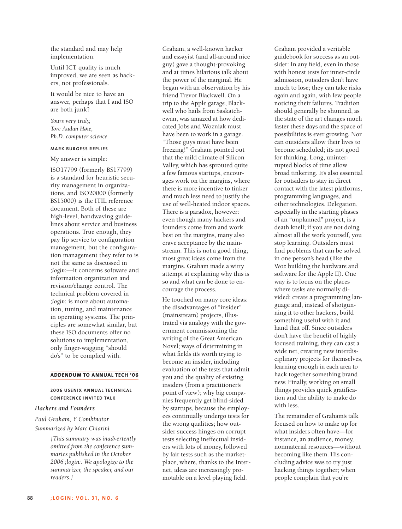the standard and may help implementation.

Until ICT quality is much improved, we are seen as hackers, not professionals.

It would be nice to have an answer, perhaps that I and ISO are both junk?

*Yours very truly, Tore Audun Høie, Ph.D. computer science*

#### **MARK BURGESS REPL I ES**

My answer is simple:

ISO17799 (formerly BS17799) is a standard for heuristic security management in organizations, and ISO20000 (formerly BS15000) is the ITIL reference document. Both of these are high-level, handwaving guidelines about service and business operations. True enough, they pay lip service to configuration management, but the configuration management they refer to is not the same as discussed in *;login:*—it concerns software and information organization and revision/change control. The technical problem covered in *;login:* is more about automation, tuning, and maintenance in operating systems. The principles are somewhat similar, but these ISO documents offer no solutions to implementation, only finger-wagging "should do's" to be complied with.

#### **ADDENDUM TO ANNUAL TECH '06**

## **2006 USENIX ANNUAL TECHNICAL CONFERENCE INVITED TALK**

#### *Hackers and Founders*

*Paul Graham, Y Combinator Summarized by Marc Chiarini*

> *[This summary was inadvertently omitted from the conference summaries published in the October 2006 ;login:. We apologize to the summarizer, the speaker, and our readers.]*

Graham, a well-known hacker and essayist (and all-around nice guy) gave a thought-provoking and at times hilarious talk about the power of the marginal. He began with an observation by his friend Trevor Blackwell. On a trip to the Apple garage, Blackwell who hails from Saskatchewan, was amazed at how dedicated Jobs and Wozniak must have been to work in a garage. "Those guys must have been freezing!" Graham pointed out that the mild climate of Silicon Valley, which has sprouted quite a few famous startups, encourages work on the margins, where there is more incentive to tinker and much less need to justify the use of well-heated indoor spaces. There is a paradox, however: even though many hackers and founders come from and work best on the margins, many also crave acceptance by the mainstream. This is not a good thing; most great ideas come from the margins. Graham made a witty attempt at explaining why this is so and what can be done to encourage the process.

He touched on many core ideas: the disadvantages of "insider" (mainstream) projects, illustrated via analogy with the government commissioning the writing of the Great American Novel; ways of determining in what fields it's worth trying to become an insider, including evaluation of the tests that admit you and the quality of existing insiders (from a practitioner's point of view); why big companies frequently get blind-sided by startups, because the employees continually undergo tests for the wrong qualities; how outsider success hinges on corrupt tests selecting ineffectual insiders with lots of money, followed by fair tests such as the marketplace, where, thanks to the Internet, ideas are increasingly promotable on a level playing field.

Graham provided a veritable guidebook for success as an outsider: In any field, even in those with honest tests for inner-circle admission, outsiders don't have much to lose; they can take risks again and again, with few people noticing their failures. Tradition should generally be shunned, as the state of the art changes much faster these days and the space of possibilities is ever growing. Nor can outsiders allow their lives to become scheduled; it's not good for thinking. Long, uninterrupted blocks of time allow broad tinkering. It's also essential for outsiders to stay in direct contact with the latest platforms, programming languages, and other technologies. Delegation, especially in the starting phases of an "unplanned" project, is a death knell; if you are not doing almost all the work yourself, you stop learning. Outsiders must find problems that can be solved in one person's head (like the Woz building the hardware and software for the Apple II). One way is to focus on the places where tasks are normally divided: create a programming language and, instead of shotgunning it to other hackers, build something useful with it and hand that off. Since outsiders don't have the benefit of highly focused training, they can cast a wide net, creating new interdisciplinary projects for themselves, learning enough in each area to hack together something brand new. Finally, working on small things provides quick gratification and the ability to make do with less.

The remainder of Graham's talk focused on how to make up for what insiders often have—for instance, an audience, money, nonmaterial resources—without becoming like them. His concluding advice was to try just hacking things together; when people complain that you're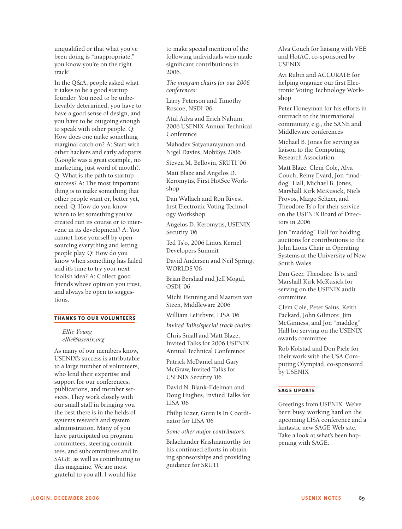unqualified or that what you've been doing is "inappropriate," you know you're on the right track!

In the Q&A, people asked what it takes to be a good startup founder. You need to be unbelievably determined, you have to have a good sense of design, and you have to be outgoing enough to speak with other people. Q: How does one make something marginal catch on? A: Start with other hackers and early adopters (Google was a great example, no marketing, just word of mouth). Q: What is the path to startup success? A: The most important thing is to make something that other people want or, better yet, need. Q: How do you know when to let something you've created run its course or to intervene in its development? A: You cannot hose yourself by opensourcing everything and letting people play. Q: How do you know when something has failed and it's time to try your next foolish idea? A: Collect good friends whose opinion you trust, and always be open to suggestions.

#### **THANKS TO OUR VOLUNTEERS**

## *Ellie Young ellie@usenix.org*

As many of our members know, USENIX's success is attributable to a large number of volunteers, who lend their expertise and support for our conferences, publications, and member services. They work closely with our small staff in bringing you the best there is in the fields of systems research and system administration. Many of you have participated on program committees, steering committees, and subcommittees and in SAGE, as well as contributing to this magazine. We are most grateful to you all. I would like

to make special mention of the following individuals who made significant contributions in 2006.

*The program chairs for our 2006 conferences:*

Larry Peterson and Timothy Roscoe, NSDI '06

Atul Adya and Erich Nahum, 2006 USENIX Annual Technical Conference

Mahadev Satyanarayanan and Nigel Davies, MobiSys 2006

Steven M. Bellovin, SRUTI '06

Matt Blaze and Angelos D. Keromytis, First HotSec Workshop

Dan Wallach and Ron Rivest, first Electronic Voting Technology Workshop

Angelos D. Keromytis, USENIX Security '06

Ted Ts'o, 2006 Linux Kernel Developers Summit

David Andersen and Neil Spring, WORLDS '06

Brian Bershad and Jeff Mogul, OSDI '06

Michi Henning and Maarten van Steen, Middleware 2006

William LeFebvre, LISA '06

*Invited Talks/special track chairs:*

Chris Small and Matt Blaze, Invited Talks for 2006 USENIX Annual Technical Conference

Patrick McDaniel and Gary McGraw, Invited Talks for USENIX Security '06

David N. Blank-Edelman and Doug Hughes, Invited Talks for LISA '06

Philip Kizer, Guru Is In Coordinator for LISA '06

*Some other major contributors:*

Balachander Krishnamurthy for his continued efforts in obtaining sponsorships and providing guidance for SRUTI

Alva Couch for liaising with VEE and HotAC, co-sponsored by **USENIX** 

Avi Rubin and ACCURATE for helping organize our first Electronic Voting Technology Workshop

Peter Honeyman for his efforts in outreach to the international community, e.g., the SANE and Middleware conferences

Michael B. Jones for serving as liaison to the Computing Research Association

Matt Blaze, Clem Cole, Alva Couch, Rémy Evard, Jon "maddog" Hall, Michael B. Jones, Marshall Kirk McKusick, Niels Provos, Margo Seltzer, and Theodore Ts'o for their service on the USENIX Board of Directors in 2006

Jon "maddog" Hall for holding auctions for contributions to the John Lions Chair in Operating Systems at the University of New South Wales

Dan Geer, Theodore Ts'o, and Marshall Kirk McKusick for serving on the USENIX audit committee

Clem Cole, Peter Salus, Keith Packard, John Gilmore, Jim McGinness, and Jon "maddog" Hall for serving on the USENIX awards committee

Rob Kolstad and Don Piele for their work with the USA Computing Olympiad, co-sponsored by USENIX

## **SAGE UPDATE**

Greetings from USENIX. We've been busy, working hard on the upcoming LISA conference and a fantastic new SAGE Web site. Take a look at what's been happening with SAGE.